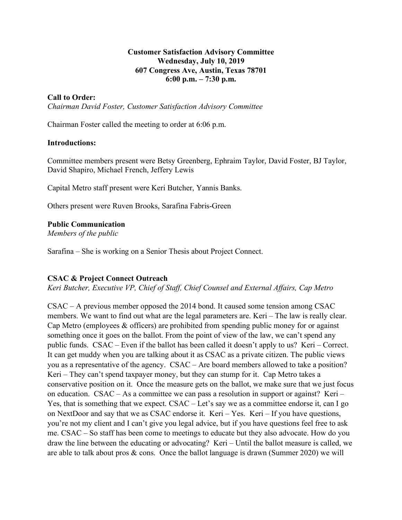#### **Customer Satisfaction Advisory Committee Wednesday, July 10, 2019 607 Congress Ave, Austin, Texas 78701 6:00 p.m. – 7:30 p.m.**

#### **Call to Order:**

*Chairman David Foster, Customer Satisfaction Advisory Committee*

Chairman Foster called the meeting to order at 6:06 p.m.

#### **Introductions:**

Committee members present were Betsy Greenberg, Ephraim Taylor, David Foster, BJ Taylor, David Shapiro, Michael French, Jeffery Lewis

Capital Metro staff present were Keri Butcher, Yannis Banks.

Others present were Ruven Brooks, Sarafina Fabris-Green

#### **Public Communication**

*Members of the public*

Sarafina – She is working on a Senior Thesis about Project Connect.

#### **CSAC & Project Connect Outreach**

*Keri Butcher, Executive VP, Chief of Staff, Chief Counsel and External Affairs, Cap Metro*

CSAC – A previous member opposed the 2014 bond. It caused some tension among CSAC members. We want to find out what are the legal parameters are. Keri – The law is really clear. Cap Metro (employees & officers) are prohibited from spending public money for or against something once it goes on the ballot. From the point of view of the law, we can't spend any public funds. CSAC – Even if the ballot has been called it doesn't apply to us? Keri – Correct. It can get muddy when you are talking about it as CSAC as a private citizen. The public views you as a representative of the agency. CSAC – Are board members allowed to take a position? Keri – They can't spend taxpayer money, but they can stump for it. Cap Metro takes a conservative position on it. Once the measure gets on the ballot, we make sure that we just focus on education. CSAC – As a committee we can pass a resolution in support or against? Keri – Yes, that is something that we expect. CSAC – Let's say we as a committee endorse it, can I go on NextDoor and say that we as CSAC endorse it. Keri – Yes. Keri – If you have questions, you're not my client and I can't give you legal advice, but if you have questions feel free to ask me. CSAC – So staff has been come to meetings to educate but they also advocate. How do you draw the line between the educating or advocating? Keri – Until the ballot measure is called, we are able to talk about pros & cons. Once the ballot language is drawn (Summer 2020) we will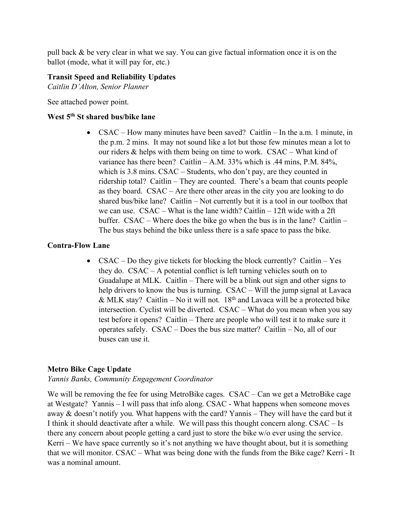pull back & be very clear in what we say. You can give factual information once it is on the ballot (mode, what it will pay for, etc.)

# **Transit Speed and Reliability Updates**

*Caitlin D'Alton, Senior Planner*

See attached power point.

# **West 5th St shared bus/bike lane**

• CSAC – How many minutes have been saved? Caitlin – In the a.m. 1 minute, in the p.m. 2 mins. It may not sound like a lot but those few minutes mean a lot to our riders & helps with them being on time to work. CSAC – What kind of variance has there been? Caitlin – A.M.  $33\%$  which is .44 mins, P.M.  $84\%$ , which is 3.8 mins. CSAC – Students, who don't pay, are they counted in ridership total? Caitlin – They are counted. There's a beam that counts people as they board. CSAC – Are there other areas in the city you are looking to do shared bus/bike lane? Caitlin – Not currently but it is a tool in our toolbox that we can use. CSAC – What is the lane width? Caitlin – 12ft wide with a 2ft buffer. CSAC – Where does the bike go when the bus is in the lane? Caitlin – The bus stays behind the bike unless there is a safe space to pass the bike.

# **Contra-Flow Lane**

• CSAC – Do they give tickets for blocking the block currently? Caitlin – Yes they do. CSAC – A potential conflict is left turning vehicles south on to Guadalupe at MLK. Caitlin – There will be a blink out sign and other signs to help drivers to know the bus is turning. CSAC – Will the jump signal at Lavaca & MLK stay? Caitlin – No it will not.  $18<sup>th</sup>$  and Lavaca will be a protected bike intersection. Cyclist will be diverted. CSAC – What do you mean when you say test before it opens? Caitlin – There are people who will test it to make sure it operates safely. CSAC – Does the bus size matter? Caitlin – No, all of our buses can use it.

# **Metro Bike Cage Update**

# *Yannis Banks, Community Engagement Coordinator*

We will be removing the fee for using MetroBike cages. CSAC – Can we get a MetroBike cage at Westgate? Yannis – I will pass that info along. CSAC - What happens when someone moves away & doesn't notify you. What happens with the card? Yannis – They will have the card but it I think it should deactivate after a while. We will pass this thought concern along. CSAC – Is there any concern about people getting a card just to store the bike w/o ever using the service. Kerri – We have space currently so it's not anything we have thought about, but it is something that we will monitor. CSAC – What was being done with the funds from the Bike cage? Kerri - It was a nominal amount.